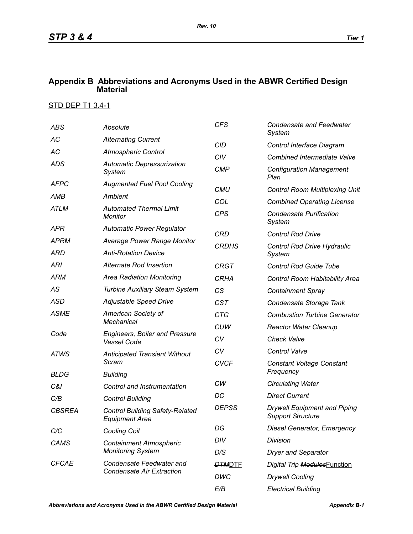## **Appendix B Abbreviations and Acronyms Used in the ABWR Certified Design Material**

## STD DEP T1 3.4-1

| <b>ABS</b>           | Absolute                                                                                   | <b>CFS</b>    | <b>Condensate and Feedwater</b><br>System                       |  |
|----------------------|--------------------------------------------------------------------------------------------|---------------|-----------------------------------------------------------------|--|
| АC                   | <b>Alternating Current</b>                                                                 | <b>CID</b>    | Control Interface Diagram                                       |  |
| AC                   | <b>Atmospheric Control</b>                                                                 | CIV           | <b>Combined Intermediate Valve</b>                              |  |
| <b>ADS</b>           | <b>Automatic Depressurization</b><br>System                                                | <b>CMP</b>    | <b>Configuration Management</b><br>Plan                         |  |
| <b>AFPC</b>          | <b>Augmented Fuel Pool Cooling</b>                                                         | <b>CMU</b>    | <b>Control Room Multiplexing Unit</b>                           |  |
| AMB                  | Ambient                                                                                    | COL           | <b>Combined Operating License</b>                               |  |
| <b>ATLM</b>          | <b>Automated Thermal Limit</b><br>Monitor                                                  | <b>CPS</b>    | <b>Condensate Purification</b><br>System                        |  |
| APR                  | <b>Automatic Power Regulator</b>                                                           | <b>CRD</b>    | <b>Control Rod Drive</b>                                        |  |
| <b>APRM</b>          | <b>Average Power Range Monitor</b>                                                         | <b>CRDHS</b>  | Control Rod Drive Hydraulic                                     |  |
| ARD                  | <b>Anti-Rotation Device</b>                                                                |               | System                                                          |  |
| <b>ARI</b>           | Alternate Rod Insertion                                                                    | <b>CRGT</b>   | <b>Control Rod Guide Tube</b>                                   |  |
| <b>ARM</b>           | <b>Area Radiation Monitoring</b>                                                           | <b>CRHA</b>   | Control Room Habitability Area                                  |  |
| AS                   | <b>Turbine Auxiliary Steam System</b>                                                      | CS            | <b>Containment Spray</b>                                        |  |
| <b>ASD</b>           | Adjustable Speed Drive                                                                     | <b>CST</b>    | Condensate Storage Tank                                         |  |
| <b>ASME</b>          | American Society of                                                                        | <b>CTG</b>    | <b>Combustion Turbine Generator</b>                             |  |
| Code                 | <b>Mechanical</b><br><b>Engineers, Boiler and Pressure</b><br><b>Vessel Code</b>           | <b>CUW</b>    | <b>Reactor Water Cleanup</b>                                    |  |
|                      |                                                                                            | CV            | <b>Check Valve</b>                                              |  |
| <b>ATWS</b>          | <b>Anticipated Transient Without</b>                                                       | CV            | <b>Control Valve</b>                                            |  |
| <b>BLDG</b>          | Scram                                                                                      | <b>CVCF</b>   | <b>Constant Voltage Constant</b><br>Frequency                   |  |
|                      | <b>Building</b>                                                                            | CW            | <b>Circulating Water</b>                                        |  |
| C&I                  | Control and Instrumentation                                                                | DC            | <b>Direct Current</b>                                           |  |
| C/B<br><b>CBSREA</b> | <b>Control Building</b><br><b>Control Building Safety-Related</b><br><b>Equipment Area</b> | <b>DEPSS</b>  | <b>Drywell Equipment and Piping</b><br><b>Support Structure</b> |  |
| C/C                  | <b>Cooling Coil</b>                                                                        | DG            | <b>Diesel Generator, Emergency</b>                              |  |
| CAMS                 | <b>Containment Atmospheric</b><br><b>Monitoring System</b>                                 | DIV           | Division                                                        |  |
|                      |                                                                                            | D/S           | <b>Dryer and Separator</b>                                      |  |
| <b>CFCAE</b>         | Condensate Feedwater and<br><b>Condensate Air Extraction</b>                               | <b>DTMDTE</b> | Digital Trip ModulesFunction                                    |  |
|                      |                                                                                            | DWC           | <b>Drywell Cooling</b>                                          |  |
|                      |                                                                                            | E/B           | <b>Electrical Building</b>                                      |  |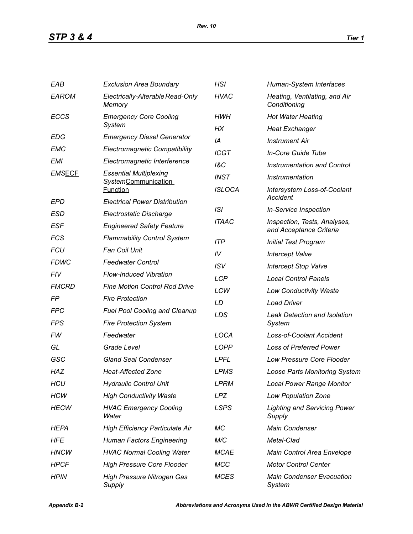| EAB           | <b>Exclusion Area Boundary</b>                | HSI            | Human-System Interfaces                                 |  |
|---------------|-----------------------------------------------|----------------|---------------------------------------------------------|--|
| <b>EAROM</b>  | Electrically-Alterable Read-Only<br>Memory    | <b>HVAC</b>    | Heating, Ventilating, and Air<br>Conditioning           |  |
| <b>ECCS</b>   | <b>Emergency Core Cooling</b>                 | <b>HWH</b>     | <b>Hot Water Heating</b>                                |  |
|               | System                                        | НX             | <b>Heat Exchanger</b>                                   |  |
| <b>EDG</b>    | <b>Emergency Diesel Generator</b>             | IA             | <b>Instrument Air</b>                                   |  |
| EMC           | <b>Electromagnetic Compatibility</b>          | <b>ICGT</b>    | In-Core Guide Tube                                      |  |
| <b>EMI</b>    | Electromagnetic Interference                  | <b>1&amp;C</b> | Instrumentation and Control                             |  |
| <b>EMSECF</b> | <b>Essential Multiplexing</b>                 | <b>INST</b>    | Instrumentation                                         |  |
|               | <b>SystemCommunication</b><br><b>Function</b> | <b>ISLOCA</b>  | <b>Intersystem Loss-of-Coolant</b>                      |  |
| EPD           | <b>Electrical Power Distribution</b>          |                | Accident                                                |  |
| ESD           | Electrostatic Discharge                       | ISI            | <b>In-Service Inspection</b>                            |  |
| <b>ESF</b>    | <b>Engineered Safety Feature</b>              | <b>ITAAC</b>   | Inspection, Tests, Analyses,<br>and Acceptance Criteria |  |
| <b>FCS</b>    | <b>Flammability Control System</b>            | <b>ITP</b>     | <b>Initial Test Program</b>                             |  |
| <b>FCU</b>    | <b>Fan Coil Unit</b>                          | IV             | <b>Intercept Valve</b>                                  |  |
| <b>FDWC</b>   | <b>Feedwater Control</b>                      | <b>ISV</b>     | <b>Intercept Stop Valve</b>                             |  |
| FIV           | <b>Flow-Induced Vibration</b>                 | <b>LCP</b>     | <b>Local Control Panels</b>                             |  |
| <b>FMCRD</b>  | <b>Fine Motion Control Rod Drive</b>          | LCW            | <b>Low Conductivity Waste</b>                           |  |
| FP            | <b>Fire Protection</b>                        | LD             | <b>Load Driver</b>                                      |  |
| <b>FPC</b>    | <b>Fuel Pool Cooling and Cleanup</b>          | LDS            | <b>Leak Detection and Isolation</b>                     |  |
| FPS           | <b>Fire Protection System</b>                 |                | System                                                  |  |
| FW            | Feedwater                                     | LOCA           | <b>Loss-of-Coolant Accident</b>                         |  |
| GL            | Grade Level                                   | <b>LOPP</b>    | <b>Loss of Preferred Power</b>                          |  |
| GSC           | <b>Gland Seal Condenser</b>                   | <b>LPFL</b>    | <b>Low Pressure Core Flooder</b>                        |  |
| <b>HAZ</b>    | <b>Heat-Affected Zone</b>                     | <b>LPMS</b>    | <b>Loose Parts Monitoring System</b>                    |  |
| <b>HCU</b>    | <b>Hydraulic Control Unit</b>                 | <b>LPRM</b>    | <b>Local Power Range Monitor</b>                        |  |
| <b>HCW</b>    | <b>High Conductivity Waste</b>                | <b>LPZ</b>     | <b>Low Population Zone</b>                              |  |
| <b>HECW</b>   | <b>HVAC Emergency Cooling</b><br>Water        | <b>LSPS</b>    | <b>Lighting and Servicing Power</b><br>Supply           |  |
| HEPA          | <b>High Efficiency Particulate Air</b>        | МC             | Main Condenser                                          |  |
| HFE           | <b>Human Factors Engineering</b>              | M/C            | Metal-Clad                                              |  |
| <b>HNCW</b>   | <b>HVAC Normal Cooling Water</b>              | <b>MCAE</b>    | Main Control Area Envelope                              |  |
| <b>HPCF</b>   | <b>High Pressure Core Flooder</b>             | <b>MCC</b>     | <b>Motor Control Center</b>                             |  |
| <b>HPIN</b>   | <b>High Pressure Nitrogen Gas</b><br>Supply   | <b>MCES</b>    | <b>Main Condenser Evacuation</b><br>System              |  |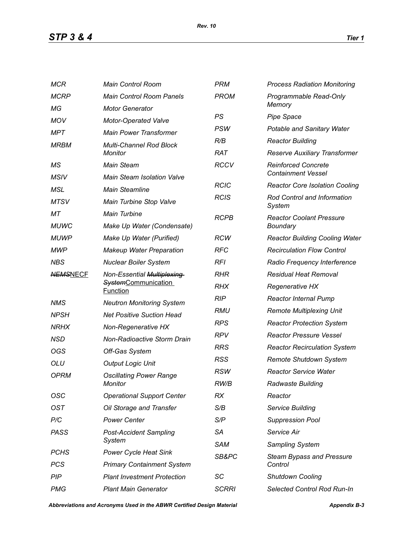*STP 3 & 4 Tier 1*

| <b>MCR</b>      | <b>Main Control Room</b>                         | <b>PRM</b>   | <b>Process Radiation Monitoring</b>   |  |
|-----------------|--------------------------------------------------|--------------|---------------------------------------|--|
| <b>MCRP</b>     | <b>Main Control Room Panels</b>                  | <b>PROM</b>  | Programmable Read-Only<br>Memory      |  |
| МG              | <b>Motor Generator</b>                           |              |                                       |  |
| <b>MOV</b>      | <b>Motor-Operated Valve</b>                      | PS           | <b>Pipe Space</b>                     |  |
| MPT             | <b>Main Power Transformer</b>                    | <b>PSW</b>   | Potable and Sanitary Water            |  |
| <b>MRBM</b>     | <b>Multi-Channel Rod Block</b><br><b>Monitor</b> | R/B          | <b>Reactor Building</b>               |  |
|                 |                                                  | <b>RAT</b>   | Reserve Auxiliary Transformer         |  |
| МS              | <b>Main Steam</b>                                | <b>RCCV</b>  | <b>Reinforced Concrete</b>            |  |
| <b>MSIV</b>     | <b>Main Steam Isolation Valve</b>                |              | <b>Containment Vessel</b>             |  |
| MSL             | <b>Main Steamline</b>                            | <b>RCIC</b>  | <b>Reactor Core Isolation Cooling</b> |  |
| <b>MTSV</b>     | Main Turbine Stop Valve                          | <b>RCIS</b>  | Rod Control and Information<br>System |  |
| MТ              | <b>Main Turbine</b>                              | <b>RCPB</b>  | <b>Reactor Coolant Pressure</b>       |  |
| <b>MUWC</b>     | Make Up Water (Condensate)                       |              | <b>Boundary</b>                       |  |
| <b>MUWP</b>     | Make Up Water (Purified)                         | <b>RCW</b>   | <b>Reactor Building Cooling Water</b> |  |
| <b>MWP</b>      | <b>Makeup Water Preparation</b>                  | <b>RFC</b>   | <b>Recirculation Flow Control</b>     |  |
| <b>NBS</b>      | <b>Nuclear Boiler System</b>                     | <b>RFI</b>   | Radio Frequency Interference          |  |
| <b>NEMSNECF</b> | Non-Essential Multiplexing                       | <b>RHR</b>   | <b>Residual Heat Removal</b>          |  |
|                 | <b>SystemCommunication</b><br><b>Function</b>    | <b>RHX</b>   | <b>Regenerative HX</b>                |  |
| <b>NMS</b>      | <b>Neutron Monitoring System</b>                 | <b>RIP</b>   | <b>Reactor Internal Pump</b>          |  |
| <b>NPSH</b>     | <b>Net Positive Suction Head</b>                 | RMU          | <b>Remote Multiplexing Unit</b>       |  |
| <b>NRHX</b>     | Non-Regenerative HX                              | <b>RPS</b>   | <b>Reactor Protection System</b>      |  |
| <b>NSD</b>      | Non-Radioactive Storm Drain                      | <b>RPV</b>   | <b>Reactor Pressure Vessel</b>        |  |
| OGS             | Off-Gas System                                   | <b>RRS</b>   | <b>Reactor Recirculation System</b>   |  |
| <b>OLU</b>      | <b>Output Logic Unit</b>                         | <b>RSS</b>   | Remote Shutdown System                |  |
| <b>OPRM</b>     | <b>Oscillating Power Range</b><br>Monitor        | <b>RSW</b>   | <b>Reactor Service Water</b>          |  |
|                 |                                                  | RW/B         | Radwaste Building                     |  |
| OSC             | <b>Operational Support Center</b>                | <b>RX</b>    | Reactor                               |  |
| <b>OST</b>      | Oil Storage and Transfer                         | S/B          | Service Building                      |  |
| P/C             | <b>Power Center</b>                              | S/P          | <b>Suppression Pool</b>               |  |
| <b>PASS</b>     | <b>Post-Accident Sampling</b>                    | <b>SA</b>    | Service Air                           |  |
|                 | System                                           | <b>SAM</b>   | Sampling System                       |  |
| <b>PCHS</b>     | <b>Power Cycle Heat Sink</b>                     | SB&PC        | <b>Steam Bypass and Pressure</b>      |  |
| PCS             | <b>Primary Containment System</b>                |              | Control                               |  |
| PIP             | <b>Plant Investment Protection</b>               | SC           | <b>Shutdown Cooling</b>               |  |
| <b>PMG</b>      | <b>Plant Main Generator</b>                      | <b>SCRRI</b> | Selected Control Rod Run-In           |  |